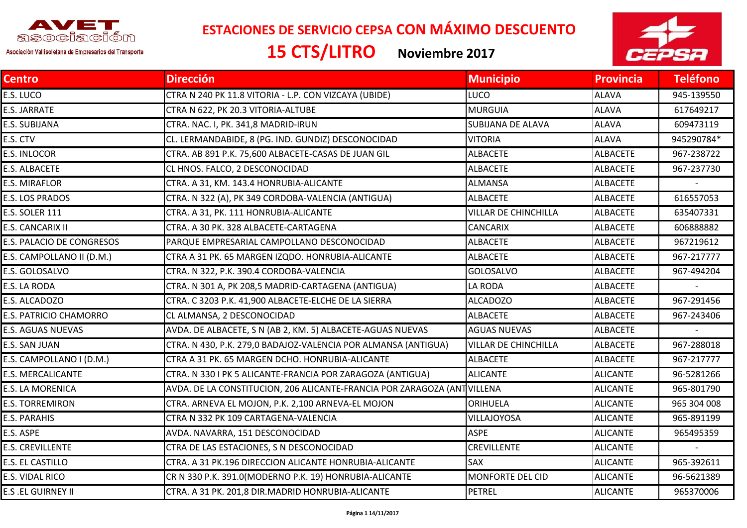

**ESTACIONES DE SERVICIO CEPSA CON MÁXIMO DESCUENTO**

Asociación Vallisoletana de Empresarios del Transporte

**15 CTS/LITRO Noviembre <sup>2017</sup>**



| <b>Centro</b>             | <b>Dirección</b>                                                         | <b>Municipio</b>            | <b>Provincia</b> | <b>Teléfono</b> |
|---------------------------|--------------------------------------------------------------------------|-----------------------------|------------------|-----------------|
| E.S. LUCO                 | CTRA N 240 PK 11.8 VITORIA - L.P. CON VIZCAYA (UBIDE)                    | <b>LUCO</b>                 | <b>ALAVA</b>     | 945-139550      |
| E.S. JARRATE              | CTRA N 622, PK 20.3 VITORIA-ALTUBE                                       | <b>MURGUIA</b>              | <b>ALAVA</b>     | 617649217       |
| E.S. SUBIJANA             | CTRA. NAC. I, PK. 341,8 MADRID-IRUN                                      | SUBIJANA DE ALAVA           | <b>ALAVA</b>     | 609473119       |
| E.S. CTV                  | CL. LERMANDABIDE, 8 (PG. IND. GUNDIZ) DESCONOCIDAD                       | <b>VITORIA</b>              | <b>ALAVA</b>     | 945290784*      |
| E.S. INLOCOR              | CTRA. AB 891 P.K. 75,600 ALBACETE-CASAS DE JUAN GIL                      | <b>ALBACETE</b>             | <b>ALBACETE</b>  | 967-238722      |
| E.S. ALBACETE             | CL HNOS. FALCO, 2 DESCONOCIDAD                                           | <b>ALBACETE</b>             | <b>ALBACETE</b>  | 967-237730      |
| E.S. MIRAFLOR             | CTRA. A 31, KM. 143.4 HONRUBIA-ALICANTE                                  | <b>ALMANSA</b>              | <b>ALBACETE</b>  |                 |
| E.S. LOS PRADOS           | CTRA. N 322 (A), PK 349 CORDOBA-VALENCIA (ANTIGUA)                       | <b>ALBACETE</b>             | <b>ALBACETE</b>  | 616557053       |
| <b>E.S. SOLER 111</b>     | CTRA. A 31, PK. 111 HONRUBIA-ALICANTE                                    | <b>VILLAR DE CHINCHILLA</b> | <b>ALBACETE</b>  | 635407331       |
| E.S. CANCARIX II          | CTRA. A 30 PK. 328 ALBACETE-CARTAGENA                                    | <b>CANCARIX</b>             | <b>ALBACETE</b>  | 606888882       |
| E.S. PALACIO DE CONGRESOS | PARQUE EMPRESARIAL CAMPOLLANO DESCONOCIDAD                               | <b>ALBACETE</b>             | <b>ALBACETE</b>  | 967219612       |
| E.S. CAMPOLLANO II (D.M.) | CTRA A 31 PK. 65 MARGEN IZQDO. HONRUBIA-ALICANTE                         | <b>ALBACETE</b>             | <b>ALBACETE</b>  | 967-217777      |
| E.S. GOLOSALVO            | CTRA. N 322, P.K. 390.4 CORDOBA-VALENCIA                                 | <b>GOLOSALVO</b>            | <b>ALBACETE</b>  | 967-494204      |
| E.S. LA RODA              | CTRA. N 301 A, PK 208,5 MADRID-CARTAGENA (ANTIGUA)                       | LA RODA                     | <b>ALBACETE</b>  |                 |
| E.S. ALCADOZO             | CTRA. C 3203 P.K. 41,900 ALBACETE-ELCHE DE LA SIERRA                     | <b>ALCADOZO</b>             | <b>ALBACETE</b>  | 967-291456      |
| E.S. PATRICIO CHAMORRO    | CL ALMANSA, 2 DESCONOCIDAD                                               | <b>ALBACETE</b>             | <b>ALBACETE</b>  | 967-243406      |
| <b>E.S. AGUAS NUEVAS</b>  | AVDA. DE ALBACETE, S N (AB 2, KM. 5) ALBACETE-AGUAS NUEVAS               | <b>AGUAS NUEVAS</b>         | <b>ALBACETE</b>  |                 |
| E.S. SAN JUAN             | CTRA. N 430, P.K. 279,0 BADAJOZ-VALENCIA POR ALMANSA (ANTIGUA)           | <b>VILLAR DE CHINCHILLA</b> | <b>ALBACETE</b>  | 967-288018      |
| E.S. CAMPOLLANO I (D.M.)  | CTRA A 31 PK. 65 MARGEN DCHO. HONRUBIA-ALICANTE                          | <b>ALBACETE</b>             | <b>ALBACETE</b>  | 967-217777      |
| <b>E.S. MERCALICANTE</b>  | CTRA. N 330 I PK 5 ALICANTE-FRANCIA POR ZARAGOZA (ANTIGUA)               | <b>ALICANTE</b>             | <b>ALICANTE</b>  | 96-5281266      |
| E.S. LA MORENICA          | AVDA. DE LA CONSTITUCION, 206 ALICANTE-FRANCIA POR ZARAGOZA (ANT VILLENA |                             | <b>ALICANTE</b>  | 965-801790      |
| <b>E.S. TORREMIRON</b>    | CTRA. ARNEVA EL MOJON, P.K. 2,100 ARNEVA-EL MOJON                        | ORIHUELA                    | <b>ALICANTE</b>  | 965 304 008     |
| <b>E.S. PARAHIS</b>       | CTRA N 332 PK 109 CARTAGENA-VALENCIA                                     | <b>VILLAJOYOSA</b>          | <b>ALICANTE</b>  | 965-891199      |
| E.S. ASPE                 | AVDA. NAVARRA, 151 DESCONOCIDAD                                          | <b>ASPE</b>                 | <b>ALICANTE</b>  | 965495359       |
| <b>E.S. CREVILLENTE</b>   | CTRA DE LAS ESTACIONES, S N DESCONOCIDAD                                 | <b>CREVILLENTE</b>          | <b>ALICANTE</b>  |                 |
| E.S. EL CASTILLO          | CTRA. A 31 PK.196 DIRECCION ALICANTE HONRUBIA-ALICANTE                   | <b>SAX</b>                  | <b>ALICANTE</b>  | 965-392611      |
| E.S. VIDAL RICO           | CR N 330 P.K. 391.0(MODERNO P.K. 19) HONRUBIA-ALICANTE                   | <b>MONFORTE DEL CID</b>     | <b>ALICANTE</b>  | 96-5621389      |
| <b>E.S .EL GUIRNEY II</b> | CTRA. A 31 PK. 201,8 DIR.MADRID HONRUBIA-ALICANTE                        | PETREL                      | <b>ALICANTE</b>  | 965370006       |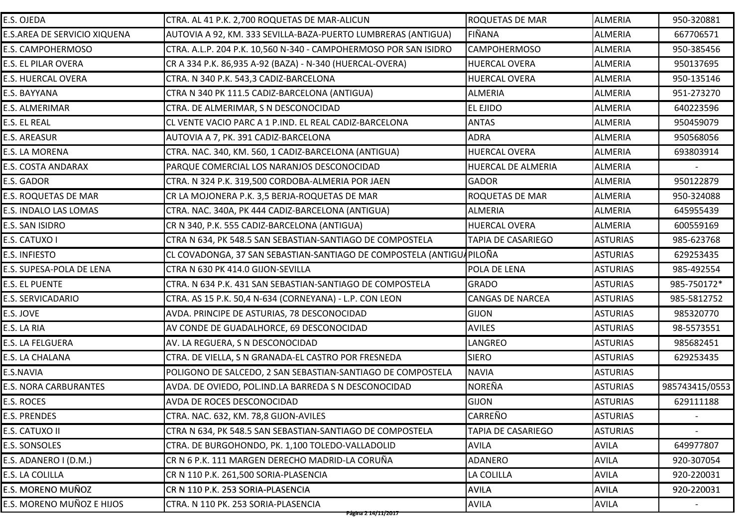| E.S. OJEDA                   | CTRA. AL 41 P.K. 2,700 ROQUETAS DE MAR-ALICUN                        | <b>ROQUETAS DE MAR</b>    | <b>ALMERIA</b>  | 950-320881     |
|------------------------------|----------------------------------------------------------------------|---------------------------|-----------------|----------------|
| E.S.AREA DE SERVICIO XIQUENA | AUTOVIA A 92, KM. 333 SEVILLA-BAZA-PUERTO LUMBRERAS (ANTIGUA)        | <b>FIÑANA</b>             | <b>ALMERIA</b>  | 667706571      |
| E.S. CAMPOHERMOSO            | CTRA. A.L.P. 204 P.K. 10,560 N-340 - CAMPOHERMOSO POR SAN ISIDRO     | <b>CAMPOHERMOSO</b>       | <b>ALMERIA</b>  | 950-385456     |
| E.S. EL PILAR OVERA          | CR A 334 P.K. 86,935 A-92 (BAZA) - N-340 (HUERCAL-OVERA)             | <b>HUERCAL OVERA</b>      | <b>ALMERIA</b>  | 950137695      |
| E.S. HUERCAL OVERA           | CTRA. N 340 P.K. 543,3 CADIZ-BARCELONA                               | <b>HUERCAL OVERA</b>      | <b>ALMERIA</b>  | 950-135146     |
| E.S. BAYYANA                 | CTRA N 340 PK 111.5 CADIZ-BARCELONA (ANTIGUA)                        | <b>ALMERIA</b>            | <b>ALMERIA</b>  | 951-273270     |
| E.S. ALMERIMAR               | CTRA. DE ALMERIMAR, S N DESCONOCIDAD                                 | <b>EL EJIDO</b>           | <b>ALMERIA</b>  | 640223596      |
| E.S. EL REAL                 | CL VENTE VACIO PARC A 1 P.IND. EL REAL CADIZ-BARCELONA               | <b>ANTAS</b>              | <b>ALMERIA</b>  | 950459079      |
| E.S. AREASUR                 | AUTOVIA A 7, PK. 391 CADIZ-BARCELONA                                 | <b>ADRA</b>               | <b>ALMERIA</b>  | 950568056      |
| E.S. LA MORENA               | CTRA. NAC. 340, KM. 560, 1 CADIZ-BARCELONA (ANTIGUA)                 | <b>HUERCAL OVERA</b>      | <b>ALMERIA</b>  | 693803914      |
| E.S. COSTA ANDARAX           | PARQUE COMERCIAL LOS NARANJOS DESCONOCIDAD                           | HUERCAL DE ALMERIA        | <b>ALMERIA</b>  |                |
| E.S. GADOR                   | CTRA. N 324 P.K. 319,500 CORDOBA-ALMERIA POR JAEN                    | <b>GADOR</b>              | <b>ALMERIA</b>  | 950122879      |
| <b>E.S. ROQUETAS DE MAR</b>  | CR LA MOJONERA P.K. 3,5 BERJA-ROQUETAS DE MAR                        | <b>ROQUETAS DE MAR</b>    | <b>ALMERIA</b>  | 950-324088     |
| E.S. INDALO LAS LOMAS        | CTRA. NAC. 340A, PK 444 CADIZ-BARCELONA (ANTIGUA)                    | <b>ALMERIA</b>            | <b>ALMERIA</b>  | 645955439      |
| E.S. SAN ISIDRO              | CR N 340, P.K. 555 CADIZ-BARCELONA (ANTIGUA)                         | <b>HUERCAL OVERA</b>      | <b>ALMERIA</b>  | 600559169      |
| E.S. CATUXO I                | CTRA N 634, PK 548.5 SAN SEBASTIAN-SANTIAGO DE COMPOSTELA            | <b>TAPIA DE CASARIEGO</b> | <b>ASTURIAS</b> | 985-623768     |
| <b>E.S. INFIESTO</b>         | CL COVADONGA, 37 SAN SEBASTIAN-SANTIAGO DE COMPOSTELA (ANTIGU4PILOÑA |                           | <b>ASTURIAS</b> | 629253435      |
| E.S. SUPESA-POLA DE LENA     | CTRA N 630 PK 414.0 GIJON-SEVILLA                                    | POLA DE LENA              | <b>ASTURIAS</b> | 985-492554     |
| E.S. EL PUENTE               | CTRA. N 634 P.K. 431 SAN SEBASTIAN-SANTIAGO DE COMPOSTELA            | <b>GRADO</b>              | <b>ASTURIAS</b> | 985-750172*    |
| E.S. SERVICADARIO            | CTRA. AS 15 P.K. 50,4 N-634 (CORNEYANA) - L.P. CON LEON              | <b>CANGAS DE NARCEA</b>   | <b>ASTURIAS</b> | 985-5812752    |
| E.S. JOVE                    | AVDA. PRINCIPE DE ASTURIAS, 78 DESCONOCIDAD                          | <b>GIJON</b>              | <b>ASTURIAS</b> | 985320770      |
| E.S. LA RIA                  | AV CONDE DE GUADALHORCE, 69 DESCONOCIDAD                             | <b>AVILES</b>             | <b>ASTURIAS</b> | 98-5573551     |
| E.S. LA FELGUERA             | AV. LA REGUERA, S N DESCONOCIDAD                                     | LANGREO                   | <b>ASTURIAS</b> | 985682451      |
| E.S. LA CHALANA              | CTRA. DE VIELLA, S N GRANADA-EL CASTRO POR FRESNEDA                  | <b>SIERO</b>              | <b>ASTURIAS</b> | 629253435      |
| E.S.NAVIA                    | POLIGONO DE SALCEDO, 2 SAN SEBASTIAN-SANTIAGO DE COMPOSTELA          | <b>NAVIA</b>              | <b>ASTURIAS</b> |                |
| <b>E.S. NORA CARBURANTES</b> | AVDA. DE OVIEDO, POL.IND.LA BARREDA S N DESCONOCIDAD                 | <b>NOREÑA</b>             | <b>ASTURIAS</b> | 985743415/0553 |
| E.S. ROCES                   | AVDA DE ROCES DESCONOCIDAD                                           | <b>GIJON</b>              | <b>ASTURIAS</b> | 629111188      |
| E.S. PRENDES                 | CTRA. NAC. 632, KM. 78,8 GIJON-AVILES                                | CARREÑO                   | <b>ASTURIAS</b> | $ \,$          |
| E.S. CATUXO II               | CTRA N 634, PK 548.5 SAN SEBASTIAN-SANTIAGO DE COMPOSTELA            | <b>TAPIA DE CASARIEGO</b> | <b>ASTURIAS</b> |                |
| <b>E.S. SONSOLES</b>         | CTRA. DE BURGOHONDO, PK. 1,100 TOLEDO-VALLADOLID                     | <b>AVILA</b>              | <b>AVILA</b>    | 649977807      |
| E.S. ADANERO I (D.M.)        | CR N 6 P.K. 111 MARGEN DERECHO MADRID-LA CORUÑA                      | ADANERO                   | <b>AVILA</b>    | 920-307054     |
| E.S. LA COLILLA              | CR N 110 P.K. 261,500 SORIA-PLASENCIA                                | LA COLILLA                | <b>AVILA</b>    | 920-220031     |
| E.S. MORENO MUÑOZ            | CR N 110 P.K. 253 SORIA-PLASENCIA                                    | <b>AVILA</b>              | <b>AVILA</b>    | 920-220031     |
| E.S. MORENO MUÑOZ E HIJOS    | CTRA. N 110 PK. 253 SORIA-PLASENCIA                                  | <b>AVILA</b>              | <b>AVILA</b>    |                |
|                              | <del>Página 2 14/11/2017</del>                                       |                           |                 |                |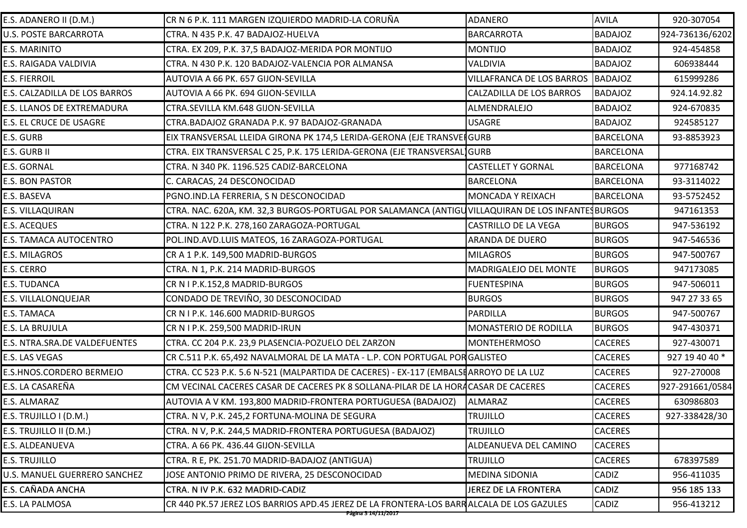| E.S. ADANERO II (D.M.)        | CR N 6 P.K. 111 MARGEN IZQUIERDO MADRID-LA CORUÑA                                                 | <b>ADANERO</b>                   | <b>AVILA</b>     | 920-307054      |
|-------------------------------|---------------------------------------------------------------------------------------------------|----------------------------------|------------------|-----------------|
| U.S. POSTE BARCARROTA         | CTRA. N 435 P.K. 47 BADAJOZ-HUELVA                                                                | <b>BARCARROTA</b>                | <b>BADAJOZ</b>   | 924-736136/6202 |
| E.S. MARINITO                 | CTRA. EX 209, P.K. 37,5 BADAJOZ-MERIDA POR MONTIJO                                                | <b>MONTIJO</b>                   | <b>BADAJOZ</b>   | 924-454858      |
| E.S. RAIGADA VALDIVIA         | CTRA. N 430 P.K. 120 BADAJOZ-VALENCIA POR ALMANSA                                                 | <b>VALDIVIA</b>                  | <b>BADAJOZ</b>   | 606938444       |
| <b>E.S. FIERROIL</b>          | AUTOVIA A 66 PK. 657 GIJON-SEVILLA                                                                | <b>VILLAFRANCA DE LOS BARROS</b> | <b>BADAJOZ</b>   | 615999286       |
| E.S. CALZADILLA DE LOS BARROS | AUTOVIA A 66 PK. 694 GIJON-SEVILLA                                                                | <b>CALZADILLA DE LOS BARROS</b>  | <b>BADAJOZ</b>   | 924.14.92.82    |
| E.S. LLANOS DE EXTREMADURA    | CTRA.SEVILLA KM.648 GIJON-SEVILLA                                                                 | ALMENDRALEJO                     | <b>BADAJOZ</b>   | 924-670835      |
| E.S. EL CRUCE DE USAGRE       | CTRA.BADAJOZ GRANADA P.K. 97 BADAJOZ-GRANADA                                                      | <b>USAGRE</b>                    | <b>BADAJOZ</b>   | 924585127       |
| E.S. GURB                     | EIX TRANSVERSAL LLEIDA GIRONA PK 174,5 LERIDA-GERONA (EJE TRANSVEI GURB                           |                                  | <b>BARCELONA</b> | 93-8853923      |
| E.S. GURB II                  | CTRA. EIX TRANSVERSAL C 25, P.K. 175 LERIDA-GERONA (EJE TRANSVERSAL GURB                          |                                  | <b>BARCELONA</b> |                 |
| E.S. GORNAL                   | CTRA. N 340 PK. 1196.525 CADIZ-BARCELONA                                                          | <b>CASTELLET Y GORNAL</b>        | <b>BARCELONA</b> | 977168742       |
| <b>E.S. BON PASTOR</b>        | C. CARACAS, 24 DESCONOCIDAD                                                                       | <b>BARCELONA</b>                 | <b>BARCELONA</b> | 93-3114022      |
| E.S. BASEVA                   | PGNO.IND.LA FERRERIA, S N DESCONOCIDAD                                                            | MONCADA Y REIXACH                | <b>BARCELONA</b> | 93-5752452      |
| E.S. VILLAQUIRAN              | CTRA. NAC. 620A, KM. 32,3 BURGOS-PORTUGAL POR SALAMANCA (ANTIGU VILLAQUIRAN DE LOS INFANTESBURGOS |                                  |                  | 947161353       |
| <b>E.S. ACEQUES</b>           | CTRA. N 122 P.K. 278,160 ZARAGOZA-PORTUGAL                                                        | <b>CASTRILLO DE LA VEGA</b>      | <b>BURGOS</b>    | 947-536192      |
| E.S. TAMACA AUTOCENTRO        | POL.IND.AVD.LUIS MATEOS, 16 ZARAGOZA-PORTUGAL                                                     | ARANDA DE DUERO                  | <b>BURGOS</b>    | 947-546536      |
| E.S. MILAGROS                 | CR A 1 P.K. 149,500 MADRID-BURGOS                                                                 | <b>MILAGROS</b>                  | <b>BURGOS</b>    | 947-500767      |
| E.S. CERRO                    | CTRA. N 1, P.K. 214 MADRID-BURGOS                                                                 | MADRIGALEJO DEL MONTE            | <b>BURGOS</b>    | 947173085       |
| E.S. TUDANCA                  | CR N I P.K.152,8 MADRID-BURGOS                                                                    | <b>FUENTESPINA</b>               | <b>BURGOS</b>    | 947-506011      |
| E.S. VILLALONQUEJAR           | CONDADO DE TREVIÑO, 30 DESCONOCIDAD                                                               | <b>BURGOS</b>                    | <b>BURGOS</b>    | 947 27 33 65    |
| E.S. TAMACA                   | CR N I P.K. 146.600 MADRID-BURGOS                                                                 | <b>PARDILLA</b>                  | <b>BURGOS</b>    | 947-500767      |
| E.S. LA BRUJULA               | CR N I P.K. 259,500 MADRID-IRUN                                                                   | MONASTERIO DE RODILLA            | <b>BURGOS</b>    | 947-430371      |
| E.S. NTRA.SRA.DE VALDEFUENTES | CTRA. CC 204 P.K. 23,9 PLASENCIA-POZUELO DEL ZARZON                                               | <b>MONTEHERMOSO</b>              | <b>CACERES</b>   | 927-430071      |
| E.S. LAS VEGAS                | CR C.511 P.K. 65,492 NAVALMORAL DE LA MATA - L.P. CON PORTUGAL POR GALISTEO                       |                                  | <b>CACERES</b>   | 927 19 40 40 *  |
| E.S.HNOS.CORDERO BERMEJO      | CTRA. CC 523 P.K. 5.6 N-521 (MALPARTIDA DE CACERES) - EX-117 (EMBALSI ARROYO DE LA LUZ            |                                  | <b>CACERES</b>   | 927-270008      |
| E.S. LA CASAREÑA              | CM VECINAL CACERES CASAR DE CACERES PK 8 SOLLANA-PILAR DE LA HORA CASAR DE CACERES                |                                  | <b>CACERES</b>   | 927-291661/0584 |
| E.S. ALMARAZ                  | AUTOVIA A V KM. 193,800 MADRID-FRONTERA PORTUGUESA (BADAJOZ)                                      | ALMARAZ                          | <b>CACERES</b>   | 630986803       |
| E.S. TRUJILLO I (D.M.)        | CTRA. N V, P.K. 245,2 FORTUNA-MOLINA DE SEGURA                                                    | <b>TRUJILLO</b>                  | <b>CACERES</b>   | 927-338428/30   |
| E.S. TRUJILLO II (D.M.)       | CTRA. N V, P.K. 244,5 MADRID-FRONTERA PORTUGUESA (BADAJOZ)                                        | <b>TRUJILLO</b>                  | <b>CACERES</b>   |                 |
| E.S. ALDEANUEVA               | CTRA. A 66 PK. 436.44 GIJON-SEVILLA                                                               | ALDEANUEVA DEL CAMINO            | <b>CACERES</b>   |                 |
| <b>E.S. TRUJILLO</b>          | CTRA. R E, PK. 251.70 MADRID-BADAJOZ (ANTIGUA)                                                    | <b>TRUJILLO</b>                  | <b>CACERES</b>   | 678397589       |
| U.S. MANUEL GUERRERO SANCHEZ  | JOSE ANTONIO PRIMO DE RIVERA, 25 DESCONOCIDAD                                                     | <b>MEDINA SIDONIA</b>            | <b>CADIZ</b>     | 956-411035      |
| E.S. CAÑADA ANCHA             | CTRA. N IV P.K. 632 MADRID-CADIZ                                                                  | <b>JEREZ DE LA FRONTERA</b>      | <b>CADIZ</b>     | 956 185 133     |
| E.S. LA PALMOSA               | CR 440 PK.57 JEREZ LOS BARRIOS APD.45 JEREZ DE LA FRONTERA-LOS BARRALCALA DE LOS GAZULES          |                                  | <b>CADIZ</b>     | 956-413212      |
|                               | Página 3 14/11/2017                                                                               |                                  |                  |                 |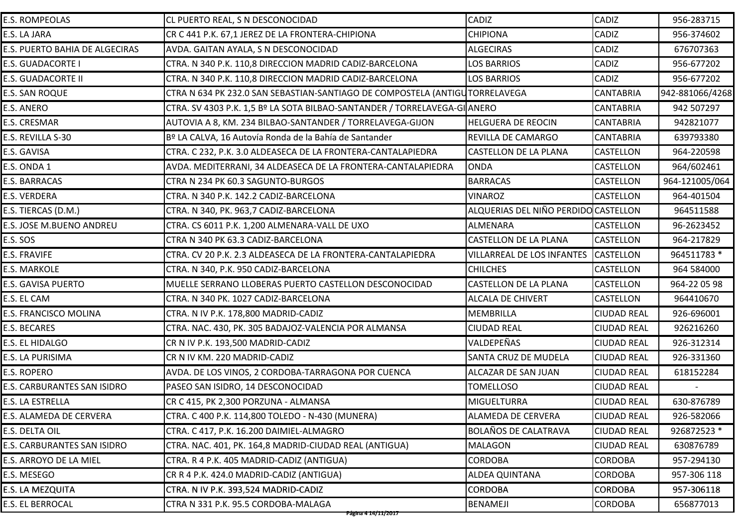| <b>E.S. ROMPEOLAS</b>          | <b>CL PUERTO REAL, S N DESCONOCIDAD</b>                                     | <b>CADIZ</b>                         | <b>CADIZ</b>       | 956-283715      |
|--------------------------------|-----------------------------------------------------------------------------|--------------------------------------|--------------------|-----------------|
| E.S. LA JARA                   | CR C 441 P.K. 67,1 JEREZ DE LA FRONTERA-CHIPIONA                            | <b>CHIPIONA</b>                      | CADIZ              | 956-374602      |
| E.S. PUERTO BAHIA DE ALGECIRAS | AVDA. GAITAN AYALA, S N DESCONOCIDAD                                        | <b>ALGECIRAS</b>                     | CADIZ              | 676707363       |
| E.S. GUADACORTE I              | CTRA. N 340 P.K. 110,8 DIRECCION MADRID CADIZ-BARCELONA                     | <b>LOS BARRIOS</b>                   | <b>CADIZ</b>       | 956-677202      |
| E.S. GUADACORTE II             | CTRA. N 340 P.K. 110,8 DIRECCION MADRID CADIZ-BARCELONA                     | <b>LOS BARRIOS</b>                   | <b>CADIZ</b>       | 956-677202      |
| E.S. SAN ROQUE                 | CTRA N 634 PK 232.0 SAN SEBASTIAN-SANTIAGO DE COMPOSTELA (ANTIGUTORRELAVEGA |                                      | <b>CANTABRIA</b>   | 942-881066/4268 |
| E.S. ANERO                     | CTRA. SV 4303 P.K. 1,5 Bº LA SOTA BILBAO-SANTANDER / TORRELAVEGA-GI ANERO   |                                      | <b>CANTABRIA</b>   | 942 507297      |
| E.S. CRESMAR                   | AUTOVIA A 8, KM. 234 BILBAO-SANTANDER / TORRELAVEGA-GIJON                   | <b>HELGUERA DE REOCIN</b>            | <b>CANTABRIA</b>   | 942821077       |
| E.S. REVILLA S-30              | Bº LA CALVA, 16 Autovía Ronda de la Bahía de Santander                      | REVILLA DE CAMARGO                   | <b>CANTABRIA</b>   | 639793380       |
| E.S. GAVISA                    | CTRA. C 232, P.K. 3.0 ALDEASECA DE LA FRONTERA-CANTALAPIEDRA                | <b>CASTELLON DE LA PLANA</b>         | <b>CASTELLON</b>   | 964-220598      |
| E.S. ONDA 1                    | AVDA. MEDITERRANI, 34 ALDEASECA DE LA FRONTERA-CANTALAPIEDRA                | <b>ONDA</b>                          | <b>CASTELLON</b>   | 964/602461      |
| E.S. BARRACAS                  | CTRA N 234 PK 60.3 SAGUNTO-BURGOS                                           | <b>BARRACAS</b>                      | <b>CASTELLON</b>   | 964-121005/064  |
| E.S. VERDERA                   | CTRA. N 340 P.K. 142.2 CADIZ-BARCELONA                                      | <b>VINAROZ</b>                       | <b>CASTELLON</b>   | 964-401504      |
| E.S. TIERCAS (D.M.)            | CTRA. N 340, PK. 963,7 CADIZ-BARCELONA                                      | ALQUERIAS DEL NIÑO PERDIDO CASTELLON |                    | 964511588       |
| E.S. JOSE M.BUENO ANDREU       | CTRA. CS 6011 P.K. 1,200 ALMENARA-VALL DE UXO                               | ALMENARA                             | <b>CASTELLON</b>   | 96-2623452      |
| E.S. SOS                       | CTRA N 340 PK 63.3 CADIZ-BARCELONA                                          | <b>CASTELLON DE LA PLANA</b>         | <b>CASTELLON</b>   | 964-217829      |
| E.S. FRAVIFE                   | CTRA. CV 20 P.K. 2.3 ALDEASECA DE LA FRONTERA-CANTALAPIEDRA                 | VILLARREAL DE LOS INFANTES           | <b>CASTELLON</b>   | 964511783 *     |
| E.S. MARKOLE                   | CTRA. N 340, P.K. 950 CADIZ-BARCELONA                                       | <b>CHILCHES</b>                      | <b>CASTELLON</b>   | 964 584000      |
| E.S. GAVISA PUERTO             | MUELLE SERRANO LLOBERAS PUERTO CASTELLON DESCONOCIDAD                       | <b>CASTELLON DE LA PLANA</b>         | <b>CASTELLON</b>   | 964-22 05 98    |
| E.S. EL CAM                    | CTRA. N 340 PK. 1027 CADIZ-BARCELONA                                        | <b>ALCALA DE CHIVERT</b>             | <b>CASTELLON</b>   | 964410670       |
| E.S. FRANCISCO MOLINA          | CTRA. N IV P.K. 178,800 MADRID-CADIZ                                        | <b>MEMBRILLA</b>                     | <b>CIUDAD REAL</b> | 926-696001      |
| E.S. BECARES                   | CTRA. NAC. 430, PK. 305 BADAJOZ-VALENCIA POR ALMANSA                        | <b>CIUDAD REAL</b>                   | <b>CIUDAD REAL</b> | 926216260       |
| E.S. EL HIDALGO                | CR N IV P.K. 193,500 MADRID-CADIZ                                           | VALDEPEÑAS                           | <b>CIUDAD REAL</b> | 926-312314      |
| E.S. LA PURISIMA               | CR N IV KM. 220 MADRID-CADIZ                                                | <b>SANTA CRUZ DE MUDELA</b>          | <b>CIUDAD REAL</b> | 926-331360      |
| E.S. ROPERO                    | AVDA. DE LOS VINOS, 2 CORDOBA-TARRAGONA POR CUENCA                          | ALCAZAR DE SAN JUAN                  | <b>CIUDAD REAL</b> | 618152284       |
| E.S. CARBURANTES SAN ISIDRO    | PASEO SAN ISIDRO, 14 DESCONOCIDAD                                           | <b>TOMELLOSO</b>                     | <b>CIUDAD REAL</b> |                 |
| E.S. LA ESTRELLA               | CR C 415, PK 2,300 PORZUNA - ALMANSA                                        | <b>MIGUELTURRA</b>                   | <b>CIUDAD REAL</b> | 630-876789      |
| E.S. ALAMEDA DE CERVERA        | CTRA. C 400 P.K. 114,800 TOLEDO - N-430 (MUNERA)                            | <b>ALAMEDA DE CERVERA</b>            | <b>CIUDAD REAL</b> | 926-582066      |
| E.S. DELTA OIL                 | CTRA. C 417, P.K. 16.200 DAIMIEL-ALMAGRO                                    | <b>BOLAÑOS DE CALATRAVA</b>          | <b>CIUDAD REAL</b> | 926872523 *     |
| E.S. CARBURANTES SAN ISIDRO    | CTRA. NAC. 401, PK. 164,8 MADRID-CIUDAD REAL (ANTIGUA)                      | <b>MALAGON</b>                       | <b>CIUDAD REAL</b> | 630876789       |
| E.S. ARROYO DE LA MIEL         | CTRA. R 4 P.K. 405 MADRID-CADIZ (ANTIGUA)                                   | <b>CORDOBA</b>                       | <b>CORDOBA</b>     | 957-294130      |
| E.S. MESEGO                    | CR R 4 P.K. 424.0 MADRID-CADIZ (ANTIGUA)                                    | <b>ALDEA QUINTANA</b>                | <b>CORDOBA</b>     | 957-306 118     |
| E.S. LA MEZQUITA               | CTRA. N IV P.K. 393,524 MADRID-CADIZ                                        | <b>CORDOBA</b>                       | <b>CORDOBA</b>     | 957-306118      |
| E.S. EL BERROCAL               | CTRA N 331 P.K. 95.5 CORDOBA-MALAGA                                         | <b>BENAMEJI</b>                      | <b>CORDOBA</b>     | 656877013       |
|                                | Página 4 14/11/2017                                                         |                                      |                    |                 |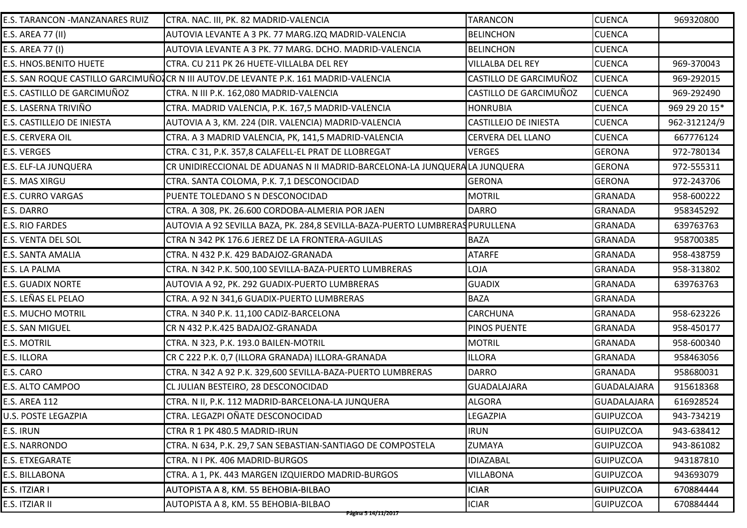| E.S. TARANCON - MANZANARES RUIZ | CTRA. NAC. III, PK. 82 MADRID-VALENCIA                                               | <b>TARANCON</b>          | <b>CUENCA</b>      | 969320800     |
|---------------------------------|--------------------------------------------------------------------------------------|--------------------------|--------------------|---------------|
| E.S. AREA 77 (II)               | AUTOVIA LEVANTE A 3 PK. 77 MARG.IZQ MADRID-VALENCIA                                  | <b>BELINCHON</b>         | <b>CUENCA</b>      |               |
| E.S. AREA 77 (I)                | AUTOVIA LEVANTE A 3 PK. 77 MARG. DCHO. MADRID-VALENCIA                               | <b>BELINCHON</b>         | <b>CUENCA</b>      |               |
| E.S. HNOS.BENITO HUETE          | CTRA. CU 211 PK 26 HUETE-VILLALBA DEL REY                                            | <b>VILLALBA DEL REY</b>  | <b>CUENCA</b>      | 969-370043    |
|                                 | E.S. SAN ROQUE CASTILLO GARCIMUÑO]CR N III AUTOV.DE LEVANTE P.K. 161 MADRID-VALENCIA | CASTILLO DE GARCIMUÑOZ   | <b>CUENCA</b>      | 969-292015    |
| E.S. CASTILLO DE GARCIMUÑOZ     | CTRA. N III P.K. 162,080 MADRID-VALENCIA                                             | CASTILLO DE GARCIMUÑOZ   | <b>CUENCA</b>      | 969-292490    |
| E.S. LASERNA TRIVIÑO            | CTRA. MADRID VALENCIA, P.K. 167,5 MADRID-VALENCIA                                    | <b>HONRUBIA</b>          | <b>CUENCA</b>      | 969 29 20 15* |
| E.S. CASTILLEJO DE INIESTA      | AUTOVIA A 3, KM. 224 (DIR. VALENCIA) MADRID-VALENCIA                                 | CASTILLEJO DE INIESTA    | <b>CUENCA</b>      | 962-312124/9  |
| E.S. CERVERA OIL                | CTRA. A 3 MADRID VALENCIA, PK, 141,5 MADRID-VALENCIA                                 | <b>CERVERA DEL LLANO</b> | <b>CUENCA</b>      | 667776124     |
| E.S. VERGES                     | CTRA. C 31, P.K. 357,8 CALAFELL-EL PRAT DE LLOBREGAT                                 | <b>VERGES</b>            | <b>GERONA</b>      | 972-780134    |
| E.S. ELF-LA JUNQUERA            | CR UNIDIRECCIONAL DE ADUANAS N II MADRID-BARCELONA-LA JUNQUERALA JUNQUERA            |                          | <b>GERONA</b>      | 972-555311    |
| E.S. MAS XIRGU                  | CTRA. SANTA COLOMA, P.K. 7,1 DESCONOCIDAD                                            | <b>GERONA</b>            | <b>GERONA</b>      | 972-243706    |
| <b>E.S. CURRO VARGAS</b>        | PUENTE TOLEDANO S N DESCONOCIDAD                                                     | <b>MOTRIL</b>            | <b>GRANADA</b>     | 958-600222    |
| E.S. DARRO                      | CTRA. A 308, PK. 26.600 CORDOBA-ALMERIA POR JAEN                                     | <b>DARRO</b>             | <b>GRANADA</b>     | 958345292     |
| E.S. RIO FARDES                 | AUTOVIA A 92 SEVILLA BAZA, PK. 284,8 SEVILLA-BAZA-PUERTO LUMBRERAS PURULLENA         |                          | <b>GRANADA</b>     | 639763763     |
| E.S. VENTA DEL SOL              | CTRA N 342 PK 176.6 JEREZ DE LA FRONTERA-AGUILAS                                     | <b>BAZA</b>              | <b>GRANADA</b>     | 958700385     |
| E.S. SANTA AMALIA               | CTRA. N 432 P.K. 429 BADAJOZ-GRANADA                                                 | <b>ATARFE</b>            | <b>GRANADA</b>     | 958-438759    |
| E.S. LA PALMA                   | CTRA. N 342 P.K. 500,100 SEVILLA-BAZA-PUERTO LUMBRERAS                               | LOJA                     | <b>GRANADA</b>     | 958-313802    |
| <b>E.S. GUADIX NORTE</b>        | AUTOVIA A 92, PK. 292 GUADIX-PUERTO LUMBRERAS                                        | <b>GUADIX</b>            | <b>GRANADA</b>     | 639763763     |
| E.S. LEÑAS EL PELAO             | CTRA. A 92 N 341,6 GUADIX-PUERTO LUMBRERAS                                           | <b>BAZA</b>              | <b>GRANADA</b>     |               |
| <b>E.S. MUCHO MOTRIL</b>        | CTRA. N 340 P.K. 11,100 CADIZ-BARCELONA                                              | <b>CARCHUNA</b>          | <b>GRANADA</b>     | 958-623226    |
| E.S. SAN MIGUEL                 | CR N 432 P.K.425 BADAJOZ-GRANADA                                                     | PINOS PUENTE             | <b>GRANADA</b>     | 958-450177    |
| <b>E.S. MOTRIL</b>              | CTRA. N 323, P.K. 193.0 BAILEN-MOTRIL                                                | <b>MOTRIL</b>            | <b>GRANADA</b>     | 958-600340    |
| E.S. ILLORA                     | CR C 222 P.K. 0,7 (ILLORA GRANADA) ILLORA-GRANADA                                    | <b>ILLORA</b>            | <b>GRANADA</b>     | 958463056     |
| E.S. CARO                       | CTRA. N 342 A 92 P.K. 329,600 SEVILLA-BAZA-PUERTO LUMBRERAS                          | <b>DARRO</b>             | <b>GRANADA</b>     | 958680031     |
| E.S. ALTO CAMPOO                | CL JULIAN BESTEIRO, 28 DESCONOCIDAD                                                  | <b>GUADALAJARA</b>       | <b>GUADALAJARA</b> | 915618368     |
| <b>E.S. AREA 112</b>            | CTRA. N II, P.K. 112 MADRID-BARCELONA-LA JUNQUERA                                    | <b>ALGORA</b>            | <b>GUADALAJARA</b> | 616928524     |
| U.S. POSTE LEGAZPIA             | CTRA. LEGAZPI OÑATE DESCONOCIDAD                                                     | <b>LEGAZPIA</b>          | <b>GUIPUZCOA</b>   | 943-734219    |
| E.S. IRUN                       | CTRA R 1 PK 480.5 MADRID-IRUN                                                        | <b>IRUN</b>              | <b>GUIPUZCOA</b>   | 943-638412    |
| <b>E.S. NARRONDO</b>            | CTRA. N 634, P.K. 29,7 SAN SEBASTIAN-SANTIAGO DE COMPOSTELA                          | <b>ZUMAYA</b>            | <b>GUIPUZCOA</b>   | 943-861082    |
| <b>E.S. ETXEGARATE</b>          | CTRA. N I PK. 406 MADRID-BURGOS                                                      | <b>IDIAZABAL</b>         | <b>GUIPUZCOA</b>   | 943187810     |
| E.S. BILLABONA                  | CTRA. A 1, PK. 443 MARGEN IZQUIERDO MADRID-BURGOS                                    | <b>VILLABONA</b>         | <b>GUIPUZCOA</b>   | 943693079     |
| E.S. ITZIAR I                   | AUTOPISTA A 8, KM. 55 BEHOBIA-BILBAO                                                 | <b>ICIAR</b>             | <b>GUIPUZCOA</b>   | 670884444     |
| E.S. ITZIAR II                  | AUTOPISTA A 8, KM. 55 BEHOBIA-BILBAO<br>Página 5 14/11/2017                          | <b>ICIAR</b>             | <b>GUIPUZCOA</b>   | 670884444     |
|                                 |                                                                                      |                          |                    |               |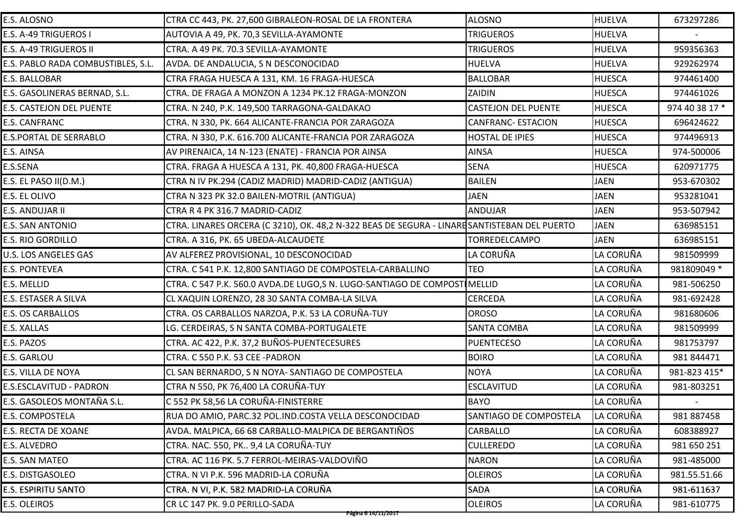| E.S. ALOSNO                        | CTRA CC 443, PK. 27,600 GIBRALEON-ROSAL DE LA FRONTERA                                       | <b>ALOSNO</b>              | <b>HUELVA</b> | 673297286      |
|------------------------------------|----------------------------------------------------------------------------------------------|----------------------------|---------------|----------------|
| E.S. A-49 TRIGUEROS I              | AUTOVIA A 49, PK. 70,3 SEVILLA-AYAMONTE                                                      | <b>TRIGUEROS</b>           | <b>HUELVA</b> |                |
| E.S. A-49 TRIGUEROS II             | CTRA. A 49 PK. 70.3 SEVILLA-AYAMONTE                                                         | <b>TRIGUEROS</b>           | <b>HUELVA</b> | 959356363      |
| E.S. PABLO RADA COMBUSTIBLES, S.L. | AVDA. DE ANDALUCIA, S N DESCONOCIDAD                                                         | <b>HUELVA</b>              | <b>HUELVA</b> | 929262974      |
| E.S. BALLOBAR                      | CTRA FRAGA HUESCA A 131, KM. 16 FRAGA-HUESCA                                                 | <b>BALLOBAR</b>            | <b>HUESCA</b> | 974461400      |
| E.S. GASOLINERAS BERNAD, S.L.      | CTRA. DE FRAGA A MONZON A 1234 PK.12 FRAGA-MONZON                                            | ZAIDIN                     | <b>HUESCA</b> | 974461026      |
| E.S. CASTEJON DEL PUENTE           | CTRA. N 240, P.K. 149,500 TARRAGONA-GALDAKAO                                                 | <b>CASTEJON DEL PUENTE</b> | <b>HUESCA</b> | 974 40 38 17 * |
| E.S. CANFRANC                      | CTRA. N 330, PK. 664 ALICANTE-FRANCIA POR ZARAGOZA                                           | <b>CANFRANC- ESTACION</b>  | <b>HUESCA</b> | 696424622      |
| E.S.PORTAL DE SERRABLO             | CTRA. N 330, P.K. 616.700 ALICANTE-FRANCIA POR ZARAGOZA                                      | <b>HOSTAL DE IPIES</b>     | <b>HUESCA</b> | 974496913      |
| E.S. AINSA                         | AV PIRENAICA, 14 N-123 (ENATE) - FRANCIA POR AINSA                                           | <b>AINSA</b>               | <b>HUESCA</b> | 974-500006     |
| E.S.SENA                           | CTRA. FRAGA A HUESCA A 131, PK. 40,800 FRAGA-HUESCA                                          | <b>SENA</b>                | <b>HUESCA</b> | 620971775      |
| E.S. EL PASO II(D.M.)              | CTRA N IV PK.294 (CADIZ MADRID) MADRID-CADIZ (ANTIGUA)                                       | <b>BAILEN</b>              | <b>JAEN</b>   | 953-670302     |
| E.S. EL OLIVO                      | CTRA N 323 PK 32.0 BAILEN-MOTRIL (ANTIGUA)                                                   | <b>JAEN</b>                | <b>JAEN</b>   | 953281041      |
| E.S. ANDUJAR II                    | CTRA R 4 PK 316.7 MADRID-CADIZ                                                               | <b>ANDUJAR</b>             | <b>JAEN</b>   | 953-507942     |
| E.S. SAN ANTONIO                   | CTRA. LINARES ORCERA (C 3210), OK. 48,2 N-322 BEAS DE SEGURA - LINARE SANTISTEBAN DEL PUERTO |                            | <b>JAEN</b>   | 636985151      |
| <b>E.S. RIO GORDILLO</b>           | CTRA. A 316, PK. 65 UBEDA-ALCAUDETE                                                          | <b>TORREDELCAMPO</b>       | <b>JAEN</b>   | 636985151      |
| U.S. LOS ANGELES GAS               | AV ALFEREZ PROVISIONAL, 10 DESCONOCIDAD                                                      | LA CORUÑA                  | LA CORUÑA     | 981509999      |
| <b>E.S. PONTEVEA</b>               | CTRA. C 541 P.K. 12,800 SANTIAGO DE COMPOSTELA-CARBALLINO                                    | <b>TEO</b>                 | LA CORUÑA     | 981809049 *    |
| E.S. MELLID                        | CTRA. C 547 P.K. 560.0 AVDA.DE LUGO,S N. LUGO-SANTIAGO DE COMPOSTI MELLID                    |                            | LA CORUÑA     | 981-506250     |
| E.S. ESTASER A SILVA               | CL XAQUIN LORENZO, 28 30 SANTA COMBA-LA SILVA                                                | <b>CERCEDA</b>             | LA CORUÑA     | 981-692428     |
| E.S. OS CARBALLOS                  | CTRA. OS CARBALLOS NARZOA, P.K. 53 LA CORUÑA-TUY                                             | <b>OROSO</b>               | LA CORUÑA     | 981680606      |
| E.S. XALLAS                        | LG. CERDEIRAS, S N SANTA COMBA-PORTUGALETE                                                   | <b>SANTA COMBA</b>         | LA CORUÑA     | 981509999      |
| E.S. PAZOS                         | CTRA. AC 422, P.K. 37,2 BUÑOS-PUENTECESURES                                                  | <b>PUENTECESO</b>          | LA CORUÑA     | 981753797      |
| E.S. GARLOU                        | CTRA. C 550 P.K. 53 CEE -PADRON                                                              | <b>BOIRO</b>               | LA CORUÑA     | 981 844471     |
| E.S. VILLA DE NOYA                 | CL SAN BERNARDO, S N NOYA- SANTIAGO DE COMPOSTELA                                            | <b>NOYA</b>                | LA CORUÑA     | 981-823 415*   |
| E.S.ESCLAVITUD - PADRON            | CTRA N 550, PK 76,400 LA CORUÑA-TUY                                                          | <b>ESCLAVITUD</b>          | LA CORUÑA     | 981-803251     |
| E.S. GASOLEOS MONTAÑA S.L.         | C 552 PK 58,56 LA CORUÑA-FINISTERRE                                                          | <b>BAYO</b>                | LA CORUÑA     |                |
| E.S. COMPOSTELA                    | RUA DO AMIO, PARC.32 POL.IND.COSTA VELLA DESCONOCIDAD                                        | SANTIAGO DE COMPOSTELA     | LA CORUÑA     | 981 887458     |
| E.S. RECTA DE XOANE                | AVDA. MALPICA, 66 68 CARBALLO-MALPICA DE BERGANTIÑOS                                         | <b>CARBALLO</b>            | LA CORUÑA     | 608388927      |
| E.S. ALVEDRO                       | CTRA. NAC. 550, PK 9,4 LA CORUÑA-TUY                                                         | <b>CULLEREDO</b>           | LA CORUÑA     | 981 650 251    |
| E.S. SAN MATEO                     | CTRA. AC 116 PK. 5.7 FERROL-MEIRAS-VALDOVIÑO                                                 | <b>NARON</b>               | LA CORUÑA     | 981-485000     |
| E.S. DISTGASOLEO                   | CTRA. N VI P.K. 596 MADRID-LA CORUÑA                                                         | <b>OLEIROS</b>             | LA CORUÑA     | 981.55.51.66   |
| <b>E.S. ESPIRITU SANTO</b>         | CTRA. N VI, P.K. 582 MADRID-LA CORUÑA                                                        | <b>SADA</b>                | LA CORUÑA     | 981-611637     |
| E.S. OLEIROS                       | CR LC 147 PK. 9.0 PERILLO-SADA                                                               | <b>OLEIROS</b>             | LA CORUÑA     | 981-610775     |
|                                    | Página 6 14/11/2017                                                                          |                            |               |                |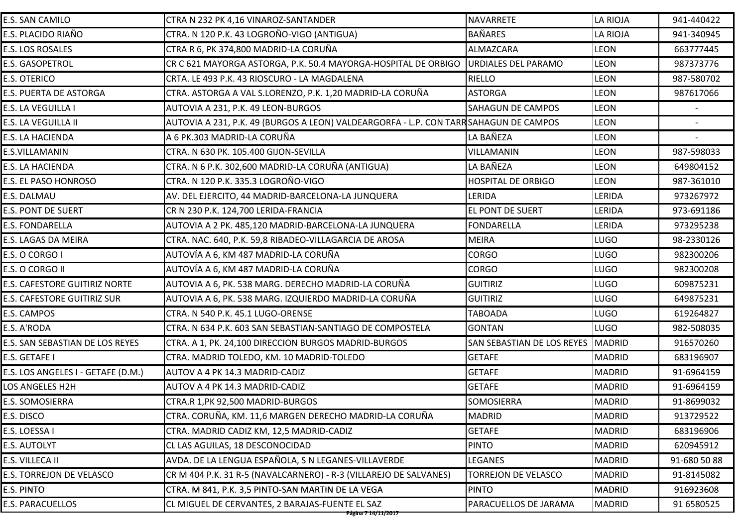| E.S. SAN CAMILO                      | CTRA N 232 PK 4,16 VINAROZ-SANTANDER                                                  | <b>NAVARRETE</b>           | <b>LA RIOJA</b> | 941-440422   |
|--------------------------------------|---------------------------------------------------------------------------------------|----------------------------|-----------------|--------------|
| E.S. PLACIDO RIAÑO                   | CTRA. N 120 P.K. 43 LOGROÑO-VIGO (ANTIGUA)                                            | <b>BAÑARES</b>             | <b>LA RIOJA</b> | 941-340945   |
| E.S. LOS ROSALES                     | CTRA R 6, PK 374,800 MADRID-LA CORUÑA                                                 | ALMAZCARA                  | LEON            | 663777445    |
| E.S. GASOPETROL                      | CR C 621 MAYORGA ASTORGA, P.K. 50.4 MAYORGA-HOSPITAL DE ORBIGO                        | <b>URDIALES DEL PARAMO</b> | <b>LEON</b>     | 987373776    |
| <b>E.S. OTERICO</b>                  | CRTA. LE 493 P.K. 43 RIOSCURO - LA MAGDALENA                                          | <b>RIELLO</b>              | <b>LEON</b>     | 987-580702   |
| E.S. PUERTA DE ASTORGA               | CTRA. ASTORGA A VAL S.LORENZO, P.K. 1,20 MADRID-LA CORUÑA                             | <b>ASTORGA</b>             | <b>LEON</b>     | 987617066    |
| E.S. LA VEGUILLA I                   | AUTOVIA A 231, P.K. 49 LEON-BURGOS                                                    | <b>SAHAGUN DE CAMPOS</b>   | <b>LEON</b>     |              |
| E.S. LA VEGUILLA II                  | AUTOVIA A 231, P.K. 49 (BURGOS A LEON) VALDEARGORFA - L.P. CON TARR SAHAGUN DE CAMPOS |                            | <b>LEON</b>     |              |
| E.S. LA HACIENDA                     | A 6 PK.303 MADRID-LA CORUÑA                                                           | LA BAÑEZA                  | <b>LEON</b>     |              |
| E.S.VILLAMANIN                       | CTRA. N 630 PK. 105.400 GIJON-SEVILLA                                                 | <b>VILLAMANIN</b>          | <b>LEON</b>     | 987-598033   |
| E.S. LA HACIENDA                     | CTRA. N 6 P.K. 302,600 MADRID-LA CORUÑA (ANTIGUA)                                     | LA BAÑEZA                  | <b>LEON</b>     | 649804152    |
| E.S. EL PASO HONROSO                 | CTRA. N 120 P.K. 335.3 LOGROÑO-VIGO                                                   | <b>HOSPITAL DE ORBIGO</b>  | <b>LEON</b>     | 987-361010   |
| E.S. DALMAU                          | AV. DEL EJERCITO, 44 MADRID-BARCELONA-LA JUNQUERA                                     | LERIDA                     | LERIDA          | 973267972    |
| <b>E.S. PONT DE SUERT</b>            | CR N 230 P.K. 124,700 LERIDA-FRANCIA                                                  | EL PONT DE SUERT           | LERIDA          | 973-691186   |
| <b>E.S. FONDARELLA</b>               | AUTOVIA A 2 PK. 485,120 MADRID-BARCELONA-LA JUNQUERA                                  | <b>FONDARELLA</b>          | LERIDA          | 973295238    |
| E.S. LAGAS DA MEIRA                  | CTRA. NAC. 640, P.K. 59,8 RIBADEO-VILLAGARCIA DE AROSA                                | <b>MEIRA</b>               | <b>LUGO</b>     | 98-2330126   |
| E.S. O CORGO I                       | AUTOVÍA A 6, KM 487 MADRID-LA CORUÑA                                                  | <b>CORGO</b>               | <b>LUGO</b>     | 982300206    |
| E.S. O CORGO II                      | AUTOVÍA A 6, KM 487 MADRID-LA CORUÑA                                                  | <b>CORGO</b>               | <b>LUGO</b>     | 982300208    |
| <b>E.S. CAFESTORE GUITIRIZ NORTE</b> | AUTOVIA A 6, PK. 538 MARG. DERECHO MADRID-LA CORUÑA                                   | <b>GUITIRIZ</b>            | <b>LUGO</b>     | 609875231    |
| E.S. CAFESTORE GUITIRIZ SUR          | AUTOVIA A 6, PK. 538 MARG. IZQUIERDO MADRID-LA CORUÑA                                 | <b>GUITIRIZ</b>            | <b>LUGO</b>     | 649875231    |
| E.S. CAMPOS                          | CTRA. N 540 P.K. 45.1 LUGO-ORENSE                                                     | <b>TABOADA</b>             | <b>LUGO</b>     | 619264827    |
| E.S. A'RODA                          | CTRA. N 634 P.K. 603 SAN SEBASTIAN-SANTIAGO DE COMPOSTELA                             | <b>GONTAN</b>              | <b>LUGO</b>     | 982-508035   |
| E.S. SAN SEBASTIAN DE LOS REYES      | CTRA. A 1, PK. 24,100 DIRECCION BURGOS MADRID-BURGOS                                  | SAN SEBASTIAN DE LOS REYES | MADRID          | 916570260    |
| E.S. GETAFE I                        | CTRA. MADRID TOLEDO, KM. 10 MADRID-TOLEDO                                             | <b>GETAFE</b>              | <b>MADRID</b>   | 683196907    |
| E.S. LOS ANGELES I - GETAFE (D.M.)   | <b>AUTOV A 4 PK 14.3 MADRID-CADIZ</b>                                                 | <b>GETAFE</b>              | <b>MADRID</b>   | 91-6964159   |
| LOS ANGELES H2H                      | AUTOV A 4 PK 14.3 MADRID-CADIZ                                                        | <b>GETAFE</b>              | <b>MADRID</b>   | 91-6964159   |
| E.S. SOMOSIERRA                      | CTRA.R 1, PK 92, 500 MADRID-BURGOS                                                    | <b>SOMOSIERRA</b>          | <b>MADRID</b>   | 91-8699032   |
| E.S. DISCO                           | CTRA. CORUÑA, KM. 11,6 MARGEN DERECHO MADRID-LA CORUÑA                                | <b>MADRID</b>              | <b>MADRID</b>   | 913729522    |
| E.S. LOESSA I                        | CTRA. MADRID CADIZ KM, 12,5 MADRID-CADIZ                                              | <b>GETAFE</b>              | <b>MADRID</b>   | 683196906    |
| <b>E.S. AUTOLYT</b>                  | CL LAS AGUILAS, 18 DESCONOCIDAD                                                       | <b>PINTO</b>               | <b>MADRID</b>   | 620945912    |
| E.S. VILLECA II                      | AVDA. DE LA LENGUA ESPAÑOLA, S N LEGANES-VILLAVERDE                                   | LEGANES                    | <b>MADRID</b>   | 91-680 50 88 |
| E.S. TORREJON DE VELASCO             | CR M 404 P.K. 31 R-5 (NAVALCARNERO) - R-3 (VILLAREJO DE SALVANES)                     | TORREJON DE VELASCO        | <b>MADRID</b>   | 91-8145082   |
| E.S. PINTO                           | CTRA. M 841, P.K. 3,5 PINTO-SAN MARTIN DE LA VEGA                                     | <b>PINTO</b>               | <b>MADRID</b>   | 916923608    |
| E.S. PARACUELLOS                     | CL MIGUEL DE CERVANTES, 2 BARAJAS-FUENTE EL SAZ                                       | PARACUELLOS DE JARAMA      | <b>MADRID</b>   | 91 6580525   |
|                                      | Página 7 14/11/2017                                                                   |                            |                 |              |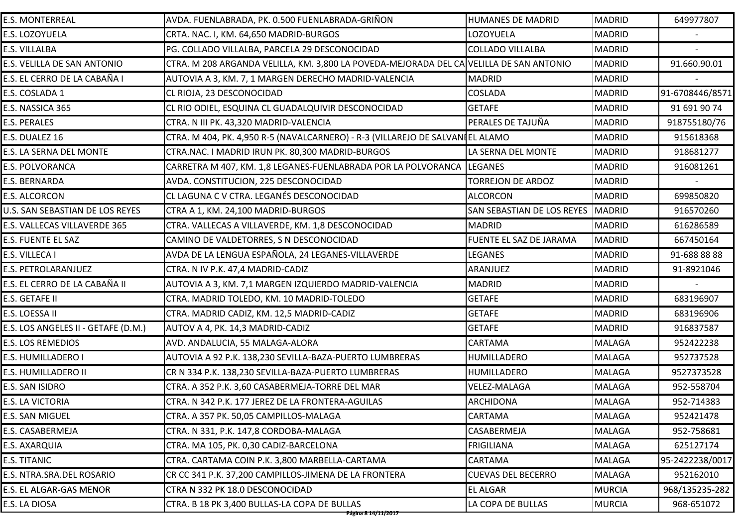| E.S. MONTERREAL                     | AVDA. FUENLABRADA, PK. 0.500 FUENLABRADA-GRIÑON                                         | HUMANES DE MADRID          | <b>MADRID</b> | 649977807       |
|-------------------------------------|-----------------------------------------------------------------------------------------|----------------------------|---------------|-----------------|
| E.S. LOZOYUELA                      | CRTA. NAC. I, KM. 64,650 MADRID-BURGOS                                                  | LOZOYUELA                  | <b>MADRID</b> |                 |
| E.S. VILLALBA                       | PG. COLLADO VILLALBA, PARCELA 29 DESCONOCIDAD                                           | <b>COLLADO VILLALBA</b>    | <b>MADRID</b> |                 |
| E.S. VELILLA DE SAN ANTONIO         | CTRA. M 208 ARGANDA VELILLA, KM. 3,800 LA POVEDA-MEJORADA DEL CA VELILLA DE SAN ANTONIO |                            | <b>MADRID</b> | 91.660.90.01    |
| E.S. EL CERRO DE LA CABAÑA I        | AUTOVIA A 3, KM. 7, 1 MARGEN DERECHO MADRID-VALENCIA                                    | <b>MADRID</b>              | <b>MADRID</b> |                 |
| E.S. COSLADA 1                      | CL RIOJA, 23 DESCONOCIDAD                                                               | <b>COSLADA</b>             | <b>MADRID</b> | 91-6708446/8571 |
| E.S. NASSICA 365                    | CL RIO ODIEL, ESQUINA CL GUADALQUIVIR DESCONOCIDAD                                      | <b>GETAFE</b>              | <b>MADRID</b> | 91 691 90 74    |
| E.S. PERALES                        | CTRA. N III PK. 43,320 MADRID-VALENCIA                                                  | PERALES DE TAJUÑA          | <b>MADRID</b> | 918755180/76    |
| E.S. DUALEZ 16                      | CTRA. M 404, PK. 4,950 R−5 (NAVALCARNERO) - R−3 (VILLAREJO DE SALVANI EL ALAMO          |                            | <b>MADRID</b> | 915618368       |
| E.S. LA SERNA DEL MONTE             | CTRA.NAC. I MADRID IRUN PK. 80,300 MADRID-BURGOS                                        | LA SERNA DEL MONTE         | <b>MADRID</b> | 918681277       |
| E.S. POLVORANCA                     | CARRETRA M 407, KM. 1,8 LEGANES-FUENLABRADA POR LA POLVORANCA LEGANES                   |                            | <b>MADRID</b> | 916081261       |
| E.S. BERNARDA                       | AVDA. CONSTITUCION, 225 DESCONOCIDAD                                                    | <b>TORREJON DE ARDOZ</b>   | <b>MADRID</b> |                 |
| E.S. ALCORCON                       | CL LAGUNA C V CTRA. LEGANÉS DESCONOCIDAD                                                | <b>ALCORCON</b>            | <b>MADRID</b> | 699850820       |
| U.S. SAN SEBASTIAN DE LOS REYES     | CTRA A 1, KM. 24,100 MADRID-BURGOS                                                      | SAN SEBASTIAN DE LOS REYES | <b>MADRID</b> | 916570260       |
| E.S. VALLECAS VILLAVERDE 365        | CTRA. VALLECAS A VILLAVERDE, KM. 1,8 DESCONOCIDAD                                       | <b>MADRID</b>              | <b>MADRID</b> | 616286589       |
| E.S. FUENTE EL SAZ                  | CAMINO DE VALDETORRES, S N DESCONOCIDAD                                                 | FUENTE EL SAZ DE JARAMA    | <b>MADRID</b> | 667450164       |
| E.S. VILLECA I                      | AVDA DE LA LENGUA ESPAÑOLA, 24 LEGANES-VILLAVERDE                                       | <b>LEGANES</b>             | <b>MADRID</b> | 91-688 88 88    |
| E.S. PETROLARANJUEZ                 | CTRA. N IV P.K. 47,4 MADRID-CADIZ                                                       | ARANJUEZ                   | <b>MADRID</b> | 91-8921046      |
| E.S. EL CERRO DE LA CABAÑA II       | AUTOVIA A 3, KM. 7,1 MARGEN IZQUIERDO MADRID-VALENCIA                                   | <b>MADRID</b>              | <b>MADRID</b> |                 |
| E.S. GETAFE II                      | CTRA. MADRID TOLEDO, KM. 10 MADRID-TOLEDO                                               | <b>GETAFE</b>              | <b>MADRID</b> | 683196907       |
| E.S. LOESSA II                      | CTRA. MADRID CADIZ, KM. 12,5 MADRID-CADIZ                                               | <b>GETAFE</b>              | <b>MADRID</b> | 683196906       |
| E.S. LOS ANGELES II - GETAFE (D.M.) | AUTOV A 4, PK. 14,3 MADRID-CADIZ                                                        | <b>GETAFE</b>              | <b>MADRID</b> | 916837587       |
| E.S. LOS REMEDIOS                   | AVD. ANDALUCIA, 55 MALAGA-ALORA                                                         | CARTAMA                    | <b>MALAGA</b> | 952422238       |
| E.S. HUMILLADERO I                  | AUTOVIA A 92 P.K. 138,230 SEVILLA-BAZA-PUERTO LUMBRERAS                                 | HUMILLADERO                | <b>MALAGA</b> | 952737528       |
| E.S. HUMILLADERO II                 | CR N 334 P.K. 138,230 SEVILLA-BAZA-PUERTO LUMBRERAS                                     | <b>HUMILLADERO</b>         | <b>MALAGA</b> | 9527373528      |
| E.S. SAN ISIDRO                     | CTRA. A 352 P.K. 3,60 CASABERMEJA-TORRE DEL MAR                                         | <b>VELEZ-MALAGA</b>        | MALAGA        | 952-558704      |
| E.S. LA VICTORIA                    | CTRA. N 342 P.K. 177 JEREZ DE LA FRONTERA-AGUILAS                                       | <b>ARCHIDONA</b>           | <b>MALAGA</b> | 952-714383      |
| E.S. SAN MIGUEL                     | CTRA. A 357 PK. 50,05 CAMPILLOS-MALAGA                                                  | CARTAMA                    | <b>MALAGA</b> | 952421478       |
| E.S. CASABERMEJA                    | CTRA. N 331, P.K. 147,8 CORDOBA-MALAGA                                                  | CASABERMEJA                | <b>MALAGA</b> | 952-758681      |
| E.S. AXARQUIA                       | CTRA. MA 105, PK. 0,30 CADIZ-BARCELONA                                                  | <b>FRIGILIANA</b>          | MALAGA        | 625127174       |
| E.S. TITANIC                        | CTRA. CARTAMA COIN P.K. 3,800 MARBELLA-CARTAMA                                          | CARTAMA                    | MALAGA        | 95-2422238/0017 |
| E.S. NTRA.SRA.DEL ROSARIO           | CR CC 341 P.K. 37,200 CAMPILLOS-JIMENA DE LA FRONTERA                                   | <b>CUEVAS DEL BECERRO</b>  | MALAGA        | 952162010       |
| E.S. EL ALGAR-GAS MENOR             | CTRA N 332 PK 18.0 DESCONOCIDAD                                                         | <b>EL ALGAR</b>            | <b>MURCIA</b> | 968/135235-282  |
| E.S. LA DIOSA                       | CTRA. B 18 PK 3,400 BULLAS-LA COPA DE BULLAS                                            | LA COPA DE BULLAS          | <b>MURCIA</b> | 968-651072      |
|                                     | <del>Página 8 14/11/2017</del>                                                          |                            |               |                 |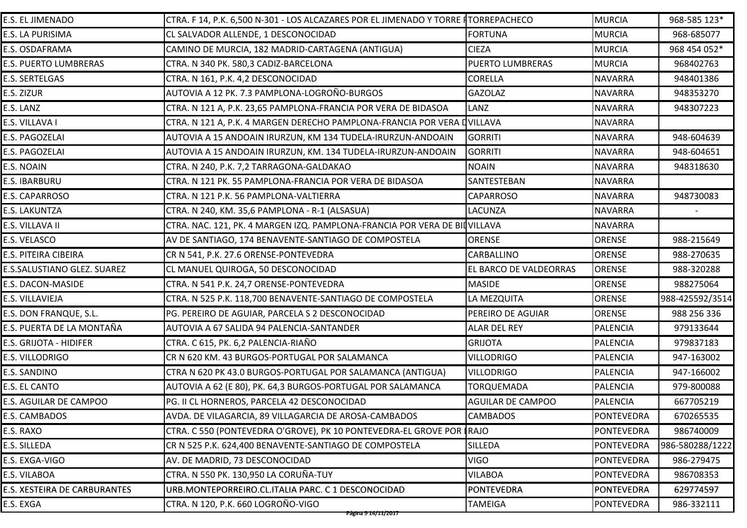| E.S. EL JIMENADO             | CTRA. F 14, P.K. 6,500 N-301 - LOS ALCAZARES POR EL JIMENADO Y TORRE ITORREPACHECO |                          | <b>MURCIA</b>     | 968-585 123*    |
|------------------------------|------------------------------------------------------------------------------------|--------------------------|-------------------|-----------------|
| E.S. LA PURISIMA             | CL SALVADOR ALLENDE, 1 DESCONOCIDAD                                                | <b>FORTUNA</b>           | <b>MURCIA</b>     | 968-685077      |
| E.S. OSDAFRAMA               | CAMINO DE MURCIA, 182 MADRID-CARTAGENA (ANTIGUA)                                   | <b>CIEZA</b>             | <b>MURCIA</b>     | 968 454 052*    |
| E.S. PUERTO LUMBRERAS        | CTRA. N 340 PK. 580,3 CADIZ-BARCELONA                                              | <b>PUERTO LUMBRERAS</b>  | <b>MURCIA</b>     | 968402763       |
| E.S. SERTELGAS               | CTRA. N 161, P.K. 4,2 DESCONOCIDAD                                                 | <b>CORELLA</b>           | <b>NAVARRA</b>    | 948401386       |
| E.S. ZIZUR                   | AUTOVIA A 12 PK. 7.3 PAMPLONA-LOGROÑO-BURGOS                                       | <b>GAZOLAZ</b>           | <b>NAVARRA</b>    | 948353270       |
| E.S. LANZ                    | CTRA. N 121 A, P.K. 23,65 PAMPLONA-FRANCIA POR VERA DE BIDASOA                     | LANZ                     | <b>NAVARRA</b>    | 948307223       |
| E.S. VILLAVA I               | CTRA. N 121 A, P.K. 4 MARGEN DERECHO PAMPLONA-FRANCIA POR VERA DVILLAVA            |                          | <b>NAVARRA</b>    |                 |
| E.S. PAGOZELAI               | AUTOVIA A 15 ANDOAIN IRURZUN, KM 134 TUDELA-IRURZUN-ANDOAIN                        | <b>GORRITI</b>           | <b>NAVARRA</b>    | 948-604639      |
| E.S. PAGOZELAI               | AUTOVIA A 15 ANDOAIN IRURZUN, KM. 134 TUDELA-IRURZUN-ANDOAIN                       | <b>GORRITI</b>           | <b>NAVARRA</b>    | 948-604651      |
| E.S. NOAIN                   | CTRA. N 240, P.K. 7,2 TARRAGONA-GALDAKAO                                           | <b>NOAIN</b>             | <b>NAVARRA</b>    | 948318630       |
| E.S. IBARBURU                | CTRA. N 121 PK. 55 PAMPLONA-FRANCIA POR VERA DE BIDASOA                            | SANTESTEBAN              | <b>NAVARRA</b>    |                 |
| E.S. CAPARROSO               | CTRA. N 121 P.K. 56 PAMPLONA-VALTIERRA                                             | <b>CAPARROSO</b>         | <b>NAVARRA</b>    | 948730083       |
| E.S. LAKUNTZA                | CTRA. N 240, KM. 35,6 PAMPLONA - R-1 (ALSASUA)                                     | <b>LACUNZA</b>           | <b>NAVARRA</b>    |                 |
| E.S. VILLAVA II              | CTRA. NAC. 121, PK. 4 MARGEN IZQ. PAMPLONA-FRANCIA POR VERA DE BILVILLAVA          |                          | <b>NAVARRA</b>    |                 |
| E.S. VELASCO                 | AV DE SANTIAGO, 174 BENAVENTE-SANTIAGO DE COMPOSTELA                               | <b>ORENSE</b>            | <b>ORENSE</b>     | 988-215649      |
| E.S. PITEIRA CIBEIRA         | CR N 541, P.K. 27.6 ORENSE-PONTEVEDRA                                              | CARBALLINO               | <b>ORENSE</b>     | 988-270635      |
| E.S.SALUSTIANO GLEZ. SUAREZ  | CL MANUEL QUIROGA, 50 DESCONOCIDAD                                                 | EL BARCO DE VALDEORRAS   | <b>ORENSE</b>     | 988-320288      |
| E.S. DACON-MASIDE            | CTRA. N 541 P.K. 24,7 ORENSE-PONTEVEDRA                                            | <b>MASIDE</b>            | <b>ORENSE</b>     | 988275064       |
| E.S. VILLAVIEJA              | CTRA. N 525 P.K. 118,700 BENAVENTE-SANTIAGO DE COMPOSTELA                          | LA MEZQUITA              | <b>ORENSE</b>     | 988-425592/3514 |
| E.S. DON FRANQUE, S.L.       | PG. PEREIRO DE AGUIAR, PARCELA S 2 DESCONOCIDAD                                    | PEREIRO DE AGUIAR        | <b>ORENSE</b>     | 988 256 336     |
| E.S. PUERTA DE LA MONTAÑA    | AUTOVIA A 67 SALIDA 94 PALENCIA-SANTANDER                                          | <b>ALAR DEL REY</b>      | <b>PALENCIA</b>   | 979133644       |
| E.S. GRIJOTA - HIDIFER       | CTRA. C 615, PK. 6,2 PALENCIA-RIAÑO                                                | <b>GRIJOTA</b>           | <b>PALENCIA</b>   | 979837183       |
| E.S. VILLODRIGO              | CR N 620 KM. 43 BURGOS-PORTUGAL POR SALAMANCA                                      | <b>VILLODRIGO</b>        | <b>PALENCIA</b>   | 947-163002      |
| E.S. SANDINO                 | CTRA N 620 PK 43.0 BURGOS-PORTUGAL POR SALAMANCA (ANTIGUA)                         | <b>VILLODRIGO</b>        | PALENCIA          | 947-166002      |
| E.S. EL CANTO                | AUTOVIA A 62 (E 80), PK. 64,3 BURGOS-PORTUGAL POR SALAMANCA                        | <b>TORQUEMADA</b>        | <b>PALENCIA</b>   | 979-800088      |
| E.S. AGUILAR DE CAMPOO       | PG. II CL HORNEROS, PARCELA 42 DESCONOCIDAD                                        | <b>AGUILAR DE CAMPOO</b> | <b>PALENCIA</b>   | 667705219       |
| E.S. CAMBADOS                | AVDA. DE VILAGARCIA, 89 VILLAGARCIA DE AROSA-CAMBADOS                              | <b>CAMBADOS</b>          | PONTEVEDRA        | 670265535       |
| E.S. RAXO                    | CTRA. C 550 (PONTEVEDRA O'GROVE), PK 10 PONTEVEDRA-EL GROVE POR IRAJO              |                          | PONTEVEDRA        | 986740009       |
| E.S. SILLEDA                 | CR N 525 P.K. 624,400 BENAVENTE-SANTIAGO DE COMPOSTELA                             | SILLEDA                  | PONTEVEDRA        | 986-580288/1222 |
| E.S. EXGA-VIGO               | AV. DE MADRID, 73 DESCONOCIDAD                                                     | <b>VIGO</b>              | <b>PONTEVEDRA</b> | 986-279475      |
| E.S. VILABOA                 | CTRA. N 550 PK. 130,950 LA CORUÑA-TUY                                              | <b>VILABOA</b>           | PONTEVEDRA        | 986708353       |
| E.S. XESTEIRA DE CARBURANTES | URB.MONTEPORREIRO.CL.ITALIA PARC. C 1 DESCONOCIDAD                                 | PONTEVEDRA               | PONTEVEDRA        | 629774597       |
| E.S. EXGA                    | CTRA. N 120, P.K. 660 LOGROÑO-VIGO                                                 | <b>TAMEIGA</b>           | PONTEVEDRA        | 986-332111      |
|                              | <del>Página 9 14/11/2017</del>                                                     |                          |                   |                 |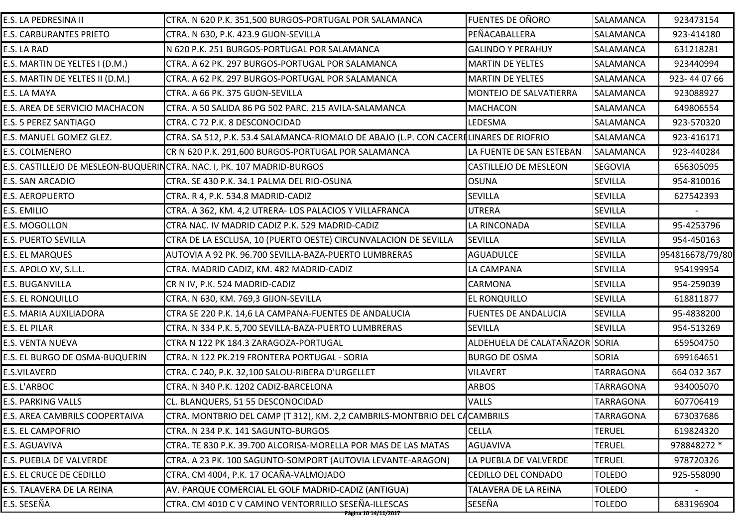| E.S. LA PEDRESINA II            | CTRA. N 620 P.K. 351,500 BURGOS-PORTUGAL POR SALAMANCA                                 | <b>FUENTES DE OÑORO</b>        | SALAMANCA        | 923473154       |
|---------------------------------|----------------------------------------------------------------------------------------|--------------------------------|------------------|-----------------|
| <b>E.S. CARBURANTES PRIETO</b>  | CTRA. N 630, P.K. 423.9 GIJON-SEVILLA                                                  | PEÑACABALLERA                  | <b>SALAMANCA</b> | 923-414180      |
| E.S. LA RAD                     | N 620 P.K. 251 BURGOS-PORTUGAL POR SALAMANCA                                           | <b>GALINDO Y PERAHUY</b>       | SALAMANCA        | 631218281       |
| E.S. MARTIN DE YELTES I (D.M.)  | CTRA. A 62 PK. 297 BURGOS-PORTUGAL POR SALAMANCA                                       | <b>MARTIN DE YELTES</b>        | SALAMANCA        | 923440994       |
| E.S. MARTIN DE YELTES II (D.M.) | CTRA. A 62 PK. 297 BURGOS-PORTUGAL POR SALAMANCA                                       | <b>MARTIN DE YELTES</b>        | <b>SALAMANCA</b> | 923-440766      |
| E.S. LA MAYA                    | CTRA. A 66 PK. 375 GIJON-SEVILLA                                                       | MONTEJO DE SALVATIERRA         | SALAMANCA        | 923088927       |
| E.S. AREA DE SERVICIO MACHACON  | CTRA. A 50 SALIDA 86 PG 502 PARC. 215 AVILA-SALAMANCA                                  | <b>MACHACON</b>                | <b>SALAMANCA</b> | 649806554       |
| E.S. 5 PEREZ SANTIAGO           | CTRA. C 72 P.K. 8 DESCONOCIDAD                                                         | <b>LEDESMA</b>                 | SALAMANCA        | 923-570320      |
| E.S. MANUEL GOMEZ GLEZ.         | CTRA. SA 512, P.K. 53.4 SALAMANCA-RIOMALO DE ABAJO (L.P. CON CACERI LINARES DE RIOFRIO |                                | SALAMANCA        | 923-416171      |
| E.S. COLMENERO                  | CR N 620 P.K. 291,600 BURGOS-PORTUGAL POR SALAMANCA                                    | LA FUENTE DE SAN ESTEBAN       | <b>SALAMANCA</b> | 923-440284      |
|                                 | E.S. CASTILLEJO DE MESLEON-BUQUERINCTRA. NAC. I, PK. 107 MADRID-BURGOS                 | <b>CASTILLEJO DE MESLEON</b>   | <b>SEGOVIA</b>   | 656305095       |
| E.S. SAN ARCADIO                | CTRA. SE 430 P.K. 34.1 PALMA DEL RIO-OSUNA                                             | <b>OSUNA</b>                   | <b>SEVILLA</b>   | 954-810016      |
| E.S. AEROPUERTO                 | CTRA. R 4, P.K. 534.8 MADRID-CADIZ                                                     | <b>SEVILLA</b>                 | <b>SEVILLA</b>   | 627542393       |
| E.S. EMILIO                     | CTRA. A 362, KM. 4,2 UTRERA- LOS PALACIOS Y VILLAFRANCA                                | <b>UTRERA</b>                  | <b>SEVILLA</b>   |                 |
| E.S. MOGOLLON                   | CTRA NAC. IV MADRID CADIZ P.K. 529 MADRID-CADIZ                                        | LA RINCONADA                   | <b>SEVILLA</b>   | 95-4253796      |
| E.S. PUERTO SEVILLA             | CTRA DE LA ESCLUSA, 10 (PUERTO OESTE) CIRCUNVALACION DE SEVILLA                        | <b>SEVILLA</b>                 | <b>SEVILLA</b>   | 954-450163      |
| <b>E.S. EL MARQUES</b>          | AUTOVIA A 92 PK. 96.700 SEVILLA-BAZA-PUERTO LUMBRERAS                                  | <b>AGUADULCE</b>               | <b>SEVILLA</b>   | 954816678/79/80 |
| E.S. APOLO XV, S.L.L.           | CTRA. MADRID CADIZ, KM. 482 MADRID-CADIZ                                               | LA CAMPANA                     | <b>SEVILLA</b>   | 954199954       |
| E.S. BUGANVILLA                 | CR N IV, P.K. 524 MADRID-CADIZ                                                         | <b>CARMONA</b>                 | <b>SEVILLA</b>   | 954-259039      |
| <b>E.S. EL RONQUILLO</b>        | CTRA. N 630, KM. 769,3 GIJON-SEVILLA                                                   | <b>EL RONQUILLO</b>            | <b>SEVILLA</b>   | 618811877       |
| E.S. MARIA AUXILIADORA          | CTRA SE 220 P.K. 14,6 LA CAMPANA-FUENTES DE ANDALUCIA                                  | <b>FUENTES DE ANDALUCIA</b>    | <b>SEVILLA</b>   | 95-4838200      |
| E.S. EL PILAR                   | CTRA. N 334 P.K. 5,700 SEVILLA-BAZA-PUERTO LUMBRERAS                                   | <b>SEVILLA</b>                 | <b>SEVILLA</b>   | 954-513269      |
| E.S. VENTA NUEVA                | CTRA N 122 PK 184.3 ZARAGOZA-PORTUGAL                                                  | ALDEHUELA DE CALATAÑAZOR SORIA |                  | 659504750       |
| E.S. EL BURGO DE OSMA-BUQUERIN  | CTRA. N 122 PK.219 FRONTERA PORTUGAL - SORIA                                           | <b>BURGO DE OSMA</b>           | <b>SORIA</b>     | 699164651       |
| E.S.VILAVERD                    | CTRA. C 240, P.K. 32,100 SALOU-RIBERA D'URGELLET                                       | <b>VILAVERT</b>                | <b>TARRAGONA</b> | 664 032 367     |
| E.S. L'ARBOC                    | CTRA. N 340 P.K. 1202 CADIZ-BARCELONA                                                  | <b>ARBOS</b>                   | <b>TARRAGONA</b> | 934005070       |
| <b>E.S. PARKING VALLS</b>       | CL. BLANQUERS, 51 55 DESCONOCIDAD                                                      | <b>VALLS</b>                   | <b>TARRAGONA</b> | 607706419       |
| E.S. AREA CAMBRILS COOPERTAIVA  | CTRA. MONTBRIO DEL CAMP (T 312), KM. 2,2 CAMBRILS-MONTBRIO DEL CACAMBRILS              |                                | <b>TARRAGONA</b> | 673037686       |
| E.S. EL CAMPOFRIO               | CTRA. N 234 P.K. 141 SAGUNTO-BURGOS                                                    | <b>CELLA</b>                   | <b>TERUEL</b>    | 619824320       |
| E.S. AGUAVIVA                   | CTRA. TE 830 P.K. 39.700 ALCORISA-MORELLA POR MAS DE LAS MATAS                         | <b>AGUAVIVA</b>                | <b>TERUEL</b>    | 978848272 *     |
| E.S. PUEBLA DE VALVERDE         | CTRA. A 23 PK. 100 SAGUNTO-SOMPORT (AUTOVIA LEVANTE-ARAGON)                            | LA PUEBLA DE VALVERDE          | <b>TERUEL</b>    | 978720326       |
| E.S. EL CRUCE DE CEDILLO        | CTRA. CM 4004, P.K. 17 OCAÑA-VALMOJADO                                                 | <b>CEDILLO DEL CONDADO</b>     | <b>TOLEDO</b>    | 925-558090      |
| E.S. TALAVERA DE LA REINA       | AV. PARQUE COMERCIAL EL GOLF MADRID-CADIZ (ANTIGUA)                                    | TALAVERA DE LA REINA           | <b>TOLEDO</b>    |                 |
| E.S. SESEÑA                     | CTRA. CM 4010 C V CAMINO VENTORRILLO SESEÑA-ILLESCAS                                   | SESEÑA                         | <b>TOLEDO</b>    | 683196904       |
|                                 | Página 10 14/11/2017                                                                   |                                |                  |                 |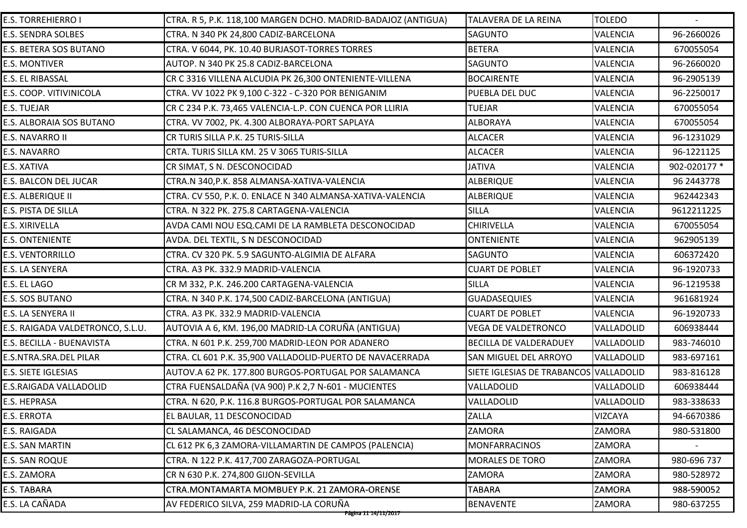| <b>E.S. TORREHIERRO I</b>        | CTRA. R 5, P.K. 118,100 MARGEN DCHO. MADRID-BADAJOZ (ANTIGUA) | <b>TALAVERA DE LA REINA</b>            | <b>TOLEDO</b>   |              |
|----------------------------------|---------------------------------------------------------------|----------------------------------------|-----------------|--------------|
| <b>E.S. SENDRA SOLBES</b>        | CTRA. N 340 PK 24,800 CADIZ-BARCELONA                         | SAGUNTO                                | <b>VALENCIA</b> | 96-2660026   |
| E.S. BETERA SOS BUTANO           | CTRA. V 6044, PK. 10.40 BURJASOT-TORRES TORRES                | <b>BETERA</b>                          | <b>VALENCIA</b> | 670055054    |
| <b>E.S. MONTIVER</b>             | AUTOP. N 340 PK 25.8 CADIZ-BARCELONA                          | <b>SAGUNTO</b>                         | <b>VALENCIA</b> | 96-2660020   |
| <b>E.S. EL RIBASSAL</b>          | CR C 3316 VILLENA ALCUDIA PK 26,300 ONTENIENTE-VILLENA        | <b>BOCAIRENTE</b>                      | <b>VALENCIA</b> | 96-2905139   |
| E.S. COOP. VITIVINICOLA          | CTRA. VV 1022 PK 9,100 C-322 - C-320 POR BENIGANIM            | PUEBLA DEL DUC                         | <b>VALENCIA</b> | 96-2250017   |
| E.S. TUEJAR                      | CR C 234 P.K. 73,465 VALENCIA-L.P. CON CUENCA POR LLIRIA      | <b>TUEJAR</b>                          | <b>VALENCIA</b> | 670055054    |
| E.S. ALBORAIA SOS BUTANO         | CTRA. VV 7002, PK. 4.300 ALBORAYA-PORT SAPLAYA                | <b>ALBORAYA</b>                        | <b>VALENCIA</b> | 670055054    |
| E.S. NAVARRO II                  | CR TURIS SILLA P.K. 25 TURIS-SILLA                            | <b>ALCACER</b>                         | <b>VALENCIA</b> | 96-1231029   |
| E.S. NAVARRO                     | CRTA. TURIS SILLA KM. 25 V 3065 TURIS-SILLA                   | <b>ALCACER</b>                         | <b>VALENCIA</b> | 96-1221125   |
| E.S. XATIVA                      | CR SIMAT, S N. DESCONOCIDAD                                   | <b>JATIVA</b>                          | <b>VALENCIA</b> | 902-020177 * |
| E.S. BALCON DEL JUCAR            | CTRA.N 340, P.K. 858 ALMANSA-XATIVA-VALENCIA                  | <b>ALBERIQUE</b>                       | <b>VALENCIA</b> | 96 2443778   |
| E.S. ALBERIQUE II                | CTRA. CV 550, P.K. O. ENLACE N 340 ALMANSA-XATIVA-VALENCIA    | <b>ALBERIQUE</b>                       | <b>VALENCIA</b> | 962442343    |
| E.S. PISTA DE SILLA              | CTRA. N 322 PK. 275.8 CARTAGENA-VALENCIA                      | <b>SILLA</b>                           | <b>VALENCIA</b> | 9612211225   |
| E.S. XIRIVELLA                   | AVDA CAMI NOU ESQ.CAMI DE LA RAMBLETA DESCONOCIDAD            | <b>CHIRIVELLA</b>                      | <b>VALENCIA</b> | 670055054    |
| <b>E.S. ONTENIENTE</b>           | AVDA. DEL TEXTIL, S N DESCONOCIDAD                            | <b>ONTENIENTE</b>                      | <b>VALENCIA</b> | 962905139    |
| <b>E.S. VENTORRILLO</b>          | CTRA. CV 320 PK. 5.9 SAGUNTO-ALGIMIA DE ALFARA                | <b>SAGUNTO</b>                         | <b>VALENCIA</b> | 606372420    |
| E.S. LA SENYERA                  | CTRA. A3 PK. 332.9 MADRID-VALENCIA                            | <b>CUART DE POBLET</b>                 | <b>VALENCIA</b> | 96-1920733   |
| E.S. EL LAGO                     | CR M 332, P.K. 246.200 CARTAGENA-VALENCIA                     | <b>SILLA</b>                           | <b>VALENCIA</b> | 96-1219538   |
| E.S. SOS BUTANO                  | CTRA. N 340 P.K. 174,500 CADIZ-BARCELONA (ANTIGUA)            | <b>GUADASEQUIES</b>                    | <b>VALENCIA</b> | 961681924    |
| E.S. LA SENYERA II               | CTRA. A3 PK. 332.9 MADRID-VALENCIA                            | <b>CUART DE POBLET</b>                 | <b>VALENCIA</b> | 96-1920733   |
| E.S. RAIGADA VALDETRONCO, S.L.U. | AUTOVIA A 6, KM. 196,00 MADRID-LA CORUÑA (ANTIGUA)            | <b>VEGA DE VALDETRONCO</b>             | VALLADOLID      | 606938444    |
| E.S. BECILLA - BUENAVISTA        | CTRA. N 601 P.K. 259,700 MADRID-LEON POR ADANERO              | <b>BECILLA DE VALDERADUEY</b>          | VALLADOLID      | 983-746010   |
| E.S.NTRA.SRA.DEL PILAR           | CTRA. CL 601 P.K. 35,900 VALLADOLID-PUERTO DE NAVACERRADA     | SAN MIGUEL DEL ARROYO                  | VALLADOLID      | 983-697161   |
| E.S. SIETE IGLESIAS              | AUTOV.A 62 PK. 177.800 BURGOS-PORTUGAL POR SALAMANCA          | SIETE IGLESIAS DE TRABANCOS VALLADOLID |                 | 983-816128   |
| E.S.RAIGADA VALLADOLID           | CTRA FUENSALDAÑA (VA 900) P.K 2,7 N-601 - MUCIENTES           | VALLADOLID                             | VALLADOLID      | 606938444    |
| E.S. HEPRASA                     | CTRA. N 620, P.K. 116.8 BURGOS-PORTUGAL POR SALAMANCA         | VALLADOLID                             | VALLADOLID      | 983-338633   |
| <b>E.S. ERROTA</b>               | EL BAULAR, 11 DESCONOCIDAD                                    | <b>ZALLA</b>                           | <b>VIZCAYA</b>  | 94-6670386   |
| E.S. RAIGADA                     | CL SALAMANCA, 46 DESCONOCIDAD                                 | ZAMORA                                 | ZAMORA          | 980-531800   |
| <b>E.S. SAN MARTIN</b>           | CL 612 PK 6,3 ZAMORA-VILLAMARTIN DE CAMPOS (PALENCIA)         | <b>MONFARRACINOS</b>                   | ZAMORA          |              |
| <b>E.S. SAN ROQUE</b>            | CTRA. N 122 P.K. 417,700 ZARAGOZA-PORTUGAL                    | <b>MORALES DE TORO</b>                 | ZAMORA          | 980-696 737  |
| E.S. ZAMORA                      | CR N 630 P.K. 274,800 GIJON-SEVILLA                           | <b>ZAMORA</b>                          | ZAMORA          | 980-528972   |
| E.S. TABARA                      | CTRA.MONTAMARTA MOMBUEY P.K. 21 ZAMORA-ORENSE                 | TABARA                                 | <b>ZAMORA</b>   | 988-590052   |
| E.S. LA CAÑADA                   | AV FEDERICO SILVA, 259 MADRID-LA CORUÑA                       | <b>BENAVENTE</b>                       | <b>ZAMORA</b>   | 980-637255   |
|                                  | <del>Página 11 14/11/2017</del>                               |                                        |                 |              |